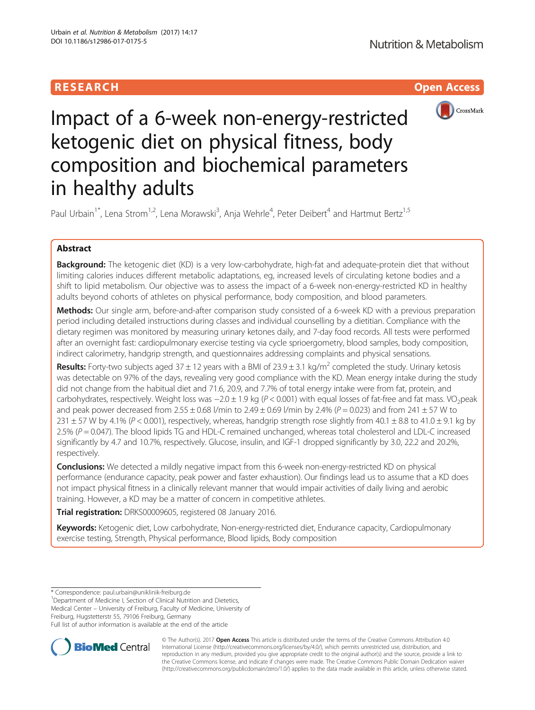# RESEARCH **RESEARCH CHOOSE ACCESS**



# Impact of a 6-week non-energy-restricted ketogenic diet on physical fitness, body composition and biochemical parameters in healthy adults

Paul Urbain<sup>1\*</sup>, Lena Strom<sup>1,2</sup>, Lena Morawski<sup>3</sup>, Anja Wehrle<sup>4</sup>, Peter Deibert<sup>4</sup> and Hartmut Bertz<sup>1,5</sup>

# Abstract

Background: The ketogenic diet (KD) is a very low-carbohydrate, high-fat and adequate-protein diet that without limiting calories induces different metabolic adaptations, eg, increased levels of circulating ketone bodies and a shift to lipid metabolism. Our objective was to assess the impact of a 6-week non-energy-restricted KD in healthy adults beyond cohorts of athletes on physical performance, body composition, and blood parameters.

Methods: Our single arm, before-and-after comparison study consisted of a 6-week KD with a previous preparation period including detailed instructions during classes and individual counselling by a dietitian. Compliance with the dietary regimen was monitored by measuring urinary ketones daily, and 7-day food records. All tests were performed after an overnight fast: cardiopulmonary exercise testing via cycle sprioergometry, blood samples, body composition, indirect calorimetry, handgrip strength, and questionnaires addressing complaints and physical sensations.

**Results:** Forty-two subjects aged 37  $\pm$  12 years with a BMI of 23.9  $\pm$  3.1 kg/m<sup>2</sup> completed the study. Urinary ketosis was detectable on 97% of the days, revealing very good compliance with the KD. Mean energy intake during the study did not change from the habitual diet and 71.6, 20.9, and 7.7% of total energy intake were from fat, protein, and carbohydrates, respectively. Weight loss was  $-2.0 \pm 1.9$  kg (P < 0.001) with equal losses of fat-free and fat mass. VO<sub>2</sub>peak and peak power decreased from  $2.55 \pm 0.68$  l/min to  $2.49 \pm 0.69$  l/min by  $2.4\%$  (P = 0.023) and from 241  $\pm$  57 W to 231  $\pm$  57 W by 4.1% (P < 0.001), respectively, whereas, handgrip strength rose slightly from 40.1  $\pm$  8.8 to 41.0  $\pm$  9.1 kg by  $2.5\%$  ( $P = 0.047$ ). The blood lipids TG and HDL-C remained unchanged, whereas total cholesterol and LDL-C increased significantly by 4.7 and 10.7%, respectively. Glucose, insulin, and IGF-1 dropped significantly by 3.0, 22.2 and 20.2%, respectively.

**Conclusions:** We detected a mildly negative impact from this 6-week non-energy-restricted KD on physical performance (endurance capacity, peak power and faster exhaustion). Our findings lead us to assume that a KD does not impact physical fitness in a clinically relevant manner that would impair activities of daily living and aerobic training. However, a KD may be a matter of concern in competitive athletes.

Trial registration: [DRKS00009605,](http://www.drks-neu.uniklinik-freiburg.de/drks_web/setLocale_EN.do) registered 08 January 2016.

Keywords: Ketogenic diet, Low carbohydrate, Non-energy-restricted diet, Endurance capacity, Cardiopulmonary exercise testing, Strength, Physical performance, Blood lipids, Body composition

\* Correspondence: [paul.urbain@uniklinik-freiburg.de](mailto:paul.urbain@uniklinik-freiburg.de) <sup>1</sup>

<sup>1</sup>Department of Medicine I, Section of Clinical Nutrition and Dietetics, Medical Center – University of Freiburg, Faculty of Medicine, University of Freiburg, Hugstetterstr 55, 79106 Freiburg, Germany

Full list of author information is available at the end of the article



© The Author(s). 2017 **Open Access** This article is distributed under the terms of the Creative Commons Attribution 4.0 International License [\(http://creativecommons.org/licenses/by/4.0/](http://creativecommons.org/licenses/by/4.0/)), which permits unrestricted use, distribution, and reproduction in any medium, provided you give appropriate credit to the original author(s) and the source, provide a link to the Creative Commons license, and indicate if changes were made. The Creative Commons Public Domain Dedication waiver [\(http://creativecommons.org/publicdomain/zero/1.0/](http://creativecommons.org/publicdomain/zero/1.0/)) applies to the data made available in this article, unless otherwise stated.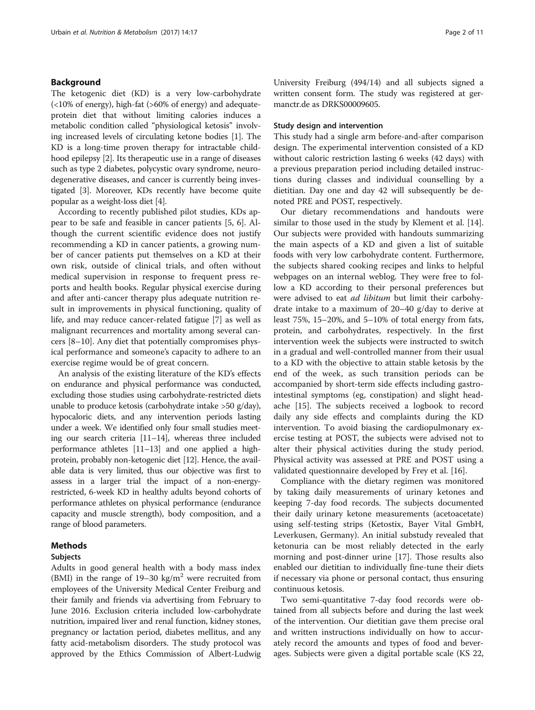## Background

The ketogenic diet (KD) is a very low-carbohydrate  $\left($  <10% of energy), high-fat (>60% of energy) and adequateprotein diet that without limiting calories induces a metabolic condition called "physiological ketosis" involving increased levels of circulating ketone bodies [[1\]](#page-9-0). The KD is a long-time proven therapy for intractable childhood epilepsy [\[2](#page-9-0)]. Its therapeutic use in a range of diseases such as type 2 diabetes, polycystic ovary syndrome, neurodegenerative diseases, and cancer is currently being investigated [[3](#page-9-0)]. Moreover, KDs recently have become quite popular as a weight-loss diet [[4\]](#page-9-0).

According to recently published pilot studies, KDs appear to be safe and feasible in cancer patients [\[5](#page-9-0), [6\]](#page-9-0). Although the current scientific evidence does not justify recommending a KD in cancer patients, a growing number of cancer patients put themselves on a KD at their own risk, outside of clinical trials, and often without medical supervision in response to frequent press reports and health books. Regular physical exercise during and after anti-cancer therapy plus adequate nutrition result in improvements in physical functioning, quality of life, and may reduce cancer-related fatigue [\[7](#page-9-0)] as well as malignant recurrences and mortality among several cancers [\[8](#page-9-0)–[10\]](#page-9-0). Any diet that potentially compromises physical performance and someone's capacity to adhere to an exercise regime would be of great concern.

An analysis of the existing literature of the KD's effects on endurance and physical performance was conducted, excluding those studies using carbohydrate-restricted diets unable to produce ketosis (carbohydrate intake >50 g/day), hypocaloric diets, and any intervention periods lasting under a week. We identified only four small studies meeting our search criteria [\[11](#page-9-0)–[14\]](#page-9-0), whereas three included performance athletes [\[11](#page-9-0)–[13](#page-9-0)] and one applied a highprotein, probably non-ketogenic diet [[12](#page-9-0)]. Hence, the available data is very limited, thus our objective was first to assess in a larger trial the impact of a non-energyrestricted, 6-week KD in healthy adults beyond cohorts of performance athletes on physical performance (endurance capacity and muscle strength), body composition, and a range of blood parameters.

#### Methods

## Subjects

Adults in good general health with a body mass index (BMI) in the range of  $19-30 \text{ kg/m}^2$  were recruited from employees of the University Medical Center Freiburg and their family and friends via advertising from February to June 2016. Exclusion criteria included low-carbohydrate nutrition, impaired liver and renal function, kidney stones, pregnancy or lactation period, diabetes mellitus, and any fatty acid-metabolism disorders. The study protocol was approved by the Ethics Commission of Albert-Ludwig

University Freiburg (494/14) and all subjects signed a written consent form. The study was registered at germanctr.de as DRKS00009605.

## Study design and intervention

This study had a single arm before-and-after comparison design. The experimental intervention consisted of a KD without caloric restriction lasting 6 weeks (42 days) with a previous preparation period including detailed instructions during classes and individual counselling by a dietitian. Day one and day 42 will subsequently be denoted PRE and POST, respectively.

Our dietary recommendations and handouts were similar to those used in the study by Klement et al. [\[14](#page-9-0)]. Our subjects were provided with handouts summarizing the main aspects of a KD and given a list of suitable foods with very low carbohydrate content. Furthermore, the subjects shared cooking recipes and links to helpful webpages on an internal weblog. They were free to follow a KD according to their personal preferences but were advised to eat ad libitum but limit their carbohydrate intake to a maximum of 20–40 g/day to derive at least 75%, 15–20%, and 5–10% of total energy from fats, protein, and carbohydrates, respectively. In the first intervention week the subjects were instructed to switch in a gradual and well-controlled manner from their usual to a KD with the objective to attain stable ketosis by the end of the week, as such transition periods can be accompanied by short-term side effects including gastrointestinal symptoms (eg, constipation) and slight headache [[15\]](#page-9-0). The subjects received a logbook to record daily any side effects and complaints during the KD intervention. To avoid biasing the cardiopulmonary exercise testing at POST, the subjects were advised not to alter their physical activities during the study period. Physical activity was assessed at PRE and POST using a validated questionnaire developed by Frey et al. [\[16\]](#page-9-0).

Compliance with the dietary regimen was monitored by taking daily measurements of urinary ketones and keeping 7-day food records. The subjects documented their daily urinary ketone measurements (acetoacetate) using self-testing strips (Ketostix, Bayer Vital GmbH, Leverkusen, Germany). An initial substudy revealed that ketonuria can be most reliably detected in the early morning and post-dinner urine [\[17](#page-9-0)]. Those results also enabled our dietitian to individually fine-tune their diets if necessary via phone or personal contact, thus ensuring continuous ketosis.

Two semi-quantitative 7-day food records were obtained from all subjects before and during the last week of the intervention. Our dietitian gave them precise oral and written instructions individually on how to accurately record the amounts and types of food and beverages. Subjects were given a digital portable scale (KS 22,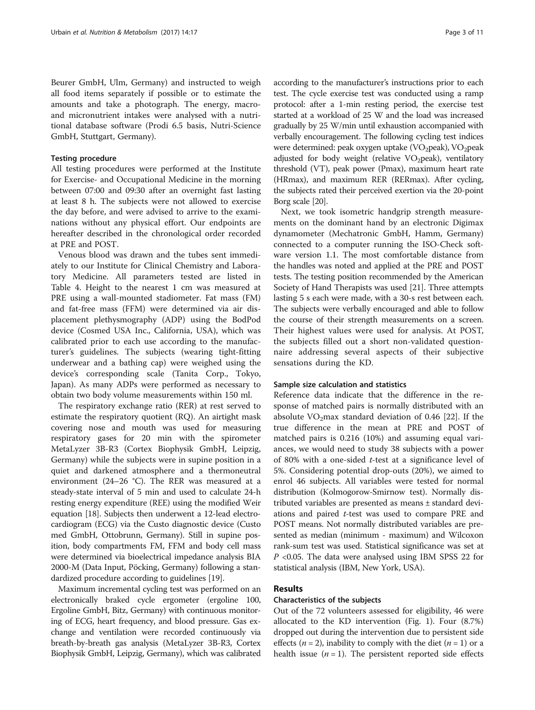Beurer GmbH, Ulm, Germany) and instructed to weigh all food items separately if possible or to estimate the amounts and take a photograph. The energy, macroand micronutrient intakes were analysed with a nutritional database software (Prodi 6.5 basis, Nutri-Science GmbH, Stuttgart, Germany).

#### Testing procedure

All testing procedures were performed at the Institute for Exercise- and Occupational Medicine in the morning between 07:00 and 09:30 after an overnight fast lasting at least 8 h. The subjects were not allowed to exercise the day before, and were advised to arrive to the examinations without any physical effort. Our endpoints are hereafter described in the chronological order recorded at PRE and POST.

Venous blood was drawn and the tubes sent immediately to our Institute for Clinical Chemistry and Laboratory Medicine. All parameters tested are listed in Table [4](#page-6-0). Height to the nearest 1 cm was measured at PRE using a wall-mounted stadiometer. Fat mass (FM) and fat-free mass (FFM) were determined via air displacement plethysmography (ADP) using the BodPod device (Cosmed USA Inc., California, USA), which was calibrated prior to each use according to the manufacturer's guidelines. The subjects (wearing tight-fitting underwear and a bathing cap) were weighed using the device's corresponding scale (Tanita Corp., Tokyo, Japan). As many ADPs were performed as necessary to obtain two body volume measurements within 150 ml.

The respiratory exchange ratio (RER) at rest served to estimate the respiratory quotient (RQ). An airtight mask covering nose and mouth was used for measuring respiratory gases for 20 min with the spirometer MetaLyzer 3B-R3 (Cortex Biophysik GmbH, Leipzig, Germany) while the subjects were in supine position in a quiet and darkened atmosphere and a thermoneutral environment (24–26 °C). The RER was measured at a steady-state interval of 5 min and used to calculate 24-h resting energy expenditure (REE) using the modified Weir equation [[18](#page-9-0)]. Subjects then underwent a 12-lead electrocardiogram (ECG) via the Custo diagnostic device (Custo med GmbH, Ottobrunn, Germany). Still in supine position, body compartments FM, FFM and body cell mass were determined via bioelectrical impedance analysis BIA 2000-M (Data Input, Pöcking, Germany) following a standardized procedure according to guidelines [\[19\]](#page-9-0).

Maximum incremental cycling test was performed on an electronically braked cycle ergometer (ergoline 100, Ergoline GmbH, Bitz, Germany) with continuous monitoring of ECG, heart frequency, and blood pressure. Gas exchange and ventilation were recorded continuously via breath-by-breath gas analysis (MetaLyzer 3B-R3, Cortex Biophysik GmbH, Leipzig, Germany), which was calibrated according to the manufacturer's instructions prior to each test. The cycle exercise test was conducted using a ramp protocol: after a 1-min resting period, the exercise test started at a workload of 25 W and the load was increased gradually by 25 W/min until exhaustion accompanied with verbally encouragement. The following cycling test indices were determined: peak oxygen uptake (VO<sub>2</sub>peak), VO<sub>2</sub>peak adjusted for body weight (relative  $VO<sub>2</sub>peak$ ), ventilatory threshold (VT), peak power (Pmax), maximum heart rate (HRmax), and maximum RER (RERmax). After cycling, the subjects rated their perceived exertion via the 20-point Borg scale [[20](#page-9-0)].

Next, we took isometric handgrip strength measurements on the dominant hand by an electronic Digimax dynamometer (Mechatronic GmbH, Hamm, Germany) connected to a computer running the ISO-Check software version 1.1. The most comfortable distance from the handles was noted and applied at the PRE and POST tests. The testing position recommended by the American Society of Hand Therapists was used [\[21\]](#page-9-0). Three attempts lasting 5 s each were made, with a 30-s rest between each. The subjects were verbally encouraged and able to follow the course of their strength measurements on a screen. Their highest values were used for analysis. At POST, the subjects filled out a short non-validated questionnaire addressing several aspects of their subjective sensations during the KD.

#### Sample size calculation and statistics

Reference data indicate that the difference in the response of matched pairs is normally distributed with an absolute  $VO<sub>2</sub>max$  standard deviation of 0.46 [[22\]](#page-9-0). If the true difference in the mean at PRE and POST of matched pairs is 0.216 (10%) and assuming equal variances, we would need to study 38 subjects with a power of 80% with a one-sided  $t$ -test at a significance level of 5%. Considering potential drop-outs (20%), we aimed to enrol 46 subjects. All variables were tested for normal distribution (Kolmogorow-Smirnow test). Normally distributed variables are presented as means ± standard deviations and paired t-test was used to compare PRE and POST means. Not normally distributed variables are presented as median (minimum - maximum) and Wilcoxon rank-sum test was used. Statistical significance was set at P <0.05. The data were analysed using IBM SPSS 22 for statistical analysis (IBM, New York, USA).

## Results

#### Characteristics of the subjects

Out of the 72 volunteers assessed for eligibility, 46 were allocated to the KD intervention (Fig. [1\)](#page-3-0). Four (8.7%) dropped out during the intervention due to persistent side effects ( $n = 2$ ), inability to comply with the diet ( $n = 1$ ) or a health issue  $(n = 1)$ . The persistent reported side effects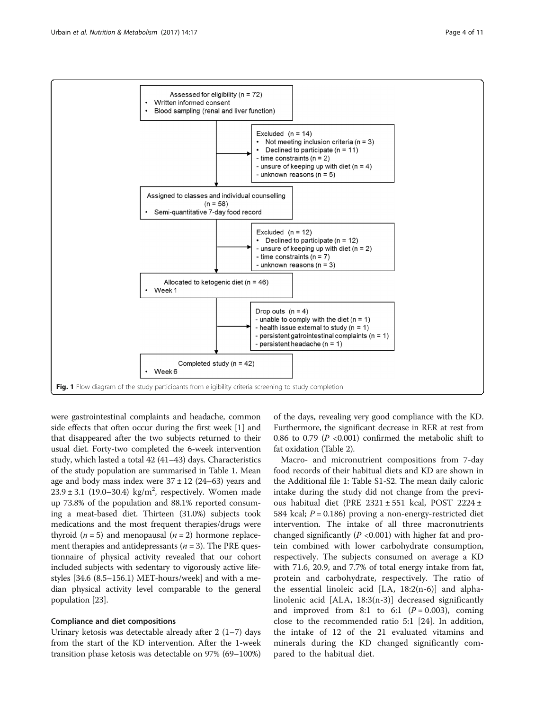<span id="page-3-0"></span>

were gastrointestinal complaints and headache, common side effects that often occur during the first week [\[1](#page-9-0)] and that disappeared after the two subjects returned to their usual diet. Forty-two completed the 6-week intervention study, which lasted a total 42 (41–43) days. Characteristics of the study population are summarised in Table [1](#page-4-0). Mean age and body mass index were  $37 \pm 12$  (24–63) years and  $23.9 \pm 3.1$  (19.0–30.4) kg/m<sup>2</sup>, respectively. Women made up 73.8% of the population and 88.1% reported consuming a meat-based diet. Thirteen (31.0%) subjects took medications and the most frequent therapies/drugs were thyroid  $(n = 5)$  and menopausal  $(n = 2)$  hormone replacement therapies and antidepressants ( $n = 3$ ). The PRE questionnaire of physical activity revealed that our cohort included subjects with sedentary to vigorously active lifestyles [34.6 (8.5–156.1) MET-hours/week] and with a median physical activity level comparable to the general population [[23](#page-9-0)].

#### Compliance and diet compositions

Urinary ketosis was detectable already after  $2(1-7)$  days from the start of the KD intervention. After the 1-week transition phase ketosis was detectable on 97% (69–100%)

of the days, revealing very good compliance with the KD. Furthermore, the significant decrease in RER at rest from 0.86 to 0.79 ( $P \le 0.001$ ) confirmed the metabolic shift to fat oxidation (Table [2](#page-4-0)).

Macro- and micronutrient compositions from 7-day food records of their habitual diets and KD are shown in the Additional file [1:](#page-8-0) Table S1-S2. The mean daily caloric intake during the study did not change from the previous habitual diet (PRE 2321 ± 551 kcal, POST 2224 ± 584 kcal;  $P = 0.186$ ) proving a non-energy-restricted diet intervention. The intake of all three macronutrients changed significantly ( $P < 0.001$ ) with higher fat and protein combined with lower carbohydrate consumption, respectively. The subjects consumed on average a KD with 71.6, 20.9, and 7.7% of total energy intake from fat, protein and carbohydrate, respectively. The ratio of the essential linoleic acid [LA, 18:2(n-6)] and alphalinolenic acid [ALA, 18:3(n-3)] decreased significantly and improved from 8:1 to 6:1  $(P = 0.003)$ , coming close to the recommended ratio 5:1 [[24\]](#page-9-0). In addition, the intake of 12 of the 21 evaluated vitamins and minerals during the KD changed significantly compared to the habitual diet.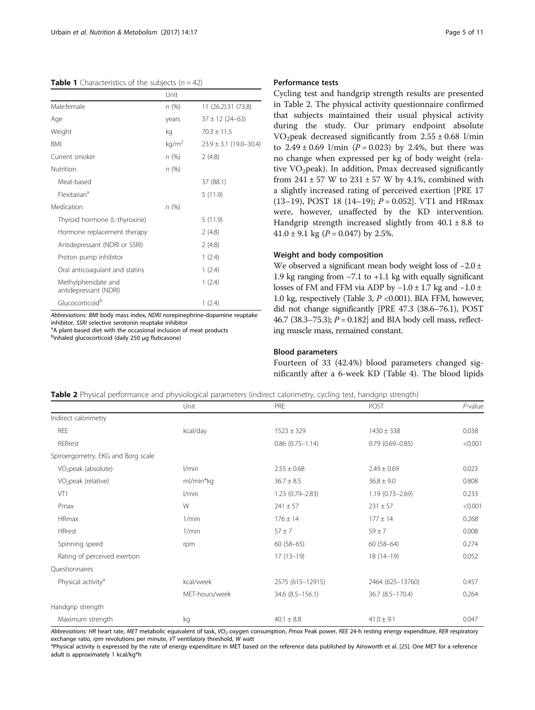<span id="page-4-0"></span>**Table 1** Characteristics of the subjects  $(n = 42)$ 

|                                              | Unit              |                            |
|----------------------------------------------|-------------------|----------------------------|
| Male:female                                  | n(%)              | 11 (26.2):31 (73.8)        |
| Age                                          | years             | $37 \pm 12$ (24-63)        |
| Weight                                       | kg                | $70.3 \pm 11.5$            |
| <b>BMI</b>                                   | kg/m <sup>2</sup> | $23.9 \pm 3.1$ (19.0-30.4) |
| Current smoker                               | n (%)             | 2(4.8)                     |
| Nutrition                                    | n (%)             |                            |
| Meat-based                                   |                   | 37 (88.1)                  |
| Flexitarian <sup>a</sup>                     |                   | 5(11.9)                    |
| Medication                                   | n(%)              |                            |
| Thyroid hormone (L-thyroxine)                |                   | 5(11.9)                    |
| Hormone replacement therapy                  |                   | 2(4.8)                     |
| Antidepressant (NDRI or SSRI)                |                   | 2(4.8)                     |
| Proton pump inhibitor                        |                   | 1(2.4)                     |
| Oral anticoagulant and statins               |                   | 1(2.4)                     |
| Methylphenidate and<br>antidepressant (NDRI) |                   | 1(2.4)                     |
| Glucocorticoid <sup>b</sup>                  |                   | 1(2.4)                     |

Abbreviations: BMI body mass index, NDRI norepinephrine-dopamine reuptake inhibitor, SSRI selective serotonin reuptake inhibitor

<sup>a</sup>A plant-based diet with the occasional inclusion of meat products binhaled glucocorticoid (daily 250 μg fluticasone)

## Performance tests

Cycling test and handgrip strength results are presented in Table 2. The physical activity questionnaire confirmed that subjects maintained their usual physical activity during the study. Our primary endpoint absolute VO<sub>2</sub>peak decreased significantly from  $2.55 \pm 0.68$  l/min to  $2.49 \pm 0.69$  l/min ( $P = 0.023$ ) by 2.4%, but there was no change when expressed per kg of body weight (relative VO<sub>2</sub>peak). In addition, Pmax decreased significantly from  $241 \pm 57$  W to  $231 \pm 57$  W by 4.1%, combined with a slightly increased rating of perceived exertion [PRE 17 (13–19), POST 18 (14–19);  $P = 0.052$ . VT1 and HRmax were, however, unaffected by the KD intervention. Handgrip strength increased slightly from  $40.1 \pm 8.8$  to 41.0  $\pm$  9.1 kg (P = 0.047) by 2.5%.

#### Weight and body composition

We observed a significant mean body weight loss of −2.0 ± 1.9 kg ranging from −7.1 to +1.1 kg with equally significant losses of FM and FFM via ADP by  $-1.0 \pm 1.7$  kg and  $-1.0 \pm 1.7$ 1.0 kg, respectively (Table [3](#page-5-0),  $P < 0.001$ ). BIA FFM, however, did not change significantly [PRE 47.3 (38.6–76.1), POST 46.7 (38.3–75.3);  $P = 0.182$ ] and BIA body cell mass, reflecting muscle mass, remained constant.

## Blood parameters

Fourteen of 33 (42.4%) blood parameters changed significantly after a 6-week KD (Table [4\)](#page-6-0). The blood lipids

Table 2 Physical performance and physiological parameters (indirect calorimetry, cycling test, handgrip strength)

|                |                        |                       | $P$ -value             |
|----------------|------------------------|-----------------------|------------------------|
|                |                        |                       |                        |
|                |                        |                       |                        |
|                |                        |                       | 0.038                  |
|                | $0.86$ $(0.75 - 1.14)$ | $0.79(0.69 - 0.85)$   | < 0.001                |
|                |                        |                       |                        |
| l/min          | $2.55 \pm 0.68$        | $2.49 \pm 0.69$       | 0.023                  |
| ml/min*kg      | $36.7 \pm 8.5$         | $36.8 \pm 9.0$        | 0.808                  |
| l/min          | 1.23 (0.79-2.83)       | $1.19(0.73 - 2.69)$   | 0.233                  |
| W              | $241 \pm 57$           | $231 \pm 57$          | < 0.001                |
| 1/min          | $176 \pm 14$           | $177 \pm 14$          | 0.268                  |
| 1/min          | $57 + 7$               | $59 \pm 7$            | 0.008                  |
| rpm            | $60(58-65)$            | $60(58-64)$           | 0.274                  |
|                | $17(13-19)$            | $18(14-19)$           | 0.052                  |
|                |                        |                       |                        |
| kcal/week      | 2575 (615-12915)       | 2464 (625-13760)      | 0.457                  |
| MET-hours/week | 34.6 (8.5-156.1)       | 36.7 (8.5-170.4)      | 0.264                  |
|                |                        |                       |                        |
| kg             | $40.1 \pm 8.8$         | $41.0 \pm 9.1$        | 0.047                  |
|                | Unit<br>kcal/day       | PRE<br>$1523 \pm 329$ | POST<br>$1430 \pm 338$ |

Abbreviations: HR heart rate, MET metabolic equivalent of task, VO<sub>2</sub> oxygen consumption, Pmax Peak power, REE 24-h resting energy expenditure, RER respiratory exchange ratio, rpm revolutions per minute, VT ventilatory threshold, W watt

<sup>a</sup>Physical activity is expressed by the rate of energy expenditure in MET based on the reference data published by Ainsworth et al. [[25\]](#page-9-0). One MET for a reference adult is approximately 1 kcal/kg\*h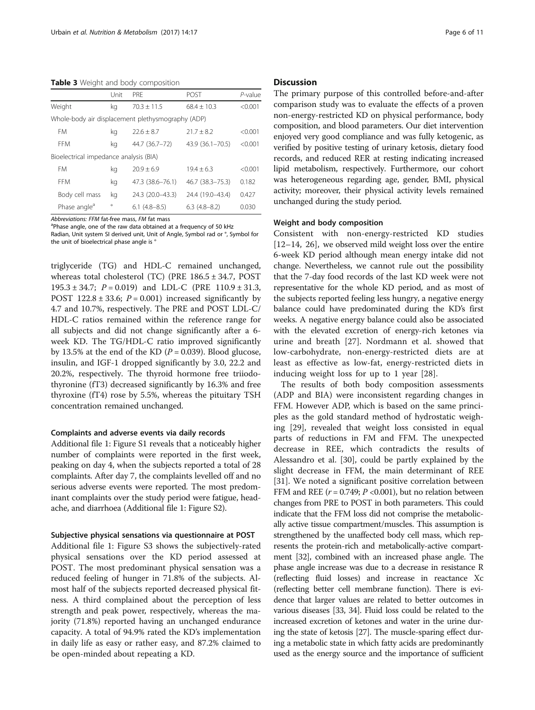<span id="page-5-0"></span>Table 3 Weight and body composition

|                                                   | Unit    | <b>PRF</b>       | POST             | $P$ -value |
|---------------------------------------------------|---------|------------------|------------------|------------|
| Weight                                            | kg      | $70.3 \pm 11.5$  | $68.4 + 10.3$    | < 0.001    |
| Whole-body air displacement plethysmography (ADP) |         |                  |                  |            |
| <b>FM</b>                                         | kg      | $22.6 + 8.7$     | $21.7 \pm 8.2$   | < 0.001    |
| <b>FFM</b>                                        | kg      | 44.7 (36.7-72)   | 43.9 (36.1-70.5) | < 0.001    |
| Bioelectrical impedance analysis (BIA)            |         |                  |                  |            |
| <b>FM</b>                                         | kg      | $70.9 + 6.9$     | $19.4 + 6.3$     | < 0.001    |
| <b>FFM</b>                                        | kg      | 47.3 (38.6-76.1) | 46.7 (38.3-75.3) | 0.182      |
| Body cell mass                                    | kg      | 24.3 (20.0-43.3) | 24.4 (19.0-43.4) | 0.427      |
| Phase angle <sup>a</sup>                          | $\circ$ | $6.1(4.8-8.5)$   | $6.3(4.8-8.2)$   | 0.030      |

Abbreviations: FFM fat-free mass, FM fat mass

<sup>a</sup>Phase angle, one of the raw data obtained at a freguency of 50 kHz

Radian, Unit system SI derived unit, Unit of Angle, Symbol rad or °, Symbol for the unit of bioelectrical phase angle is °

triglyceride (TG) and HDL-C remained unchanged, whereas total cholesterol (TC) (PRE 186.5 ± 34.7, POST 195.3 ± 34.7;  $P = 0.019$  and LDL-C (PRE 110.9 ± 31.3, POST 122.8  $\pm$  33.6;  $P = 0.001$ ) increased significantly by 4.7 and 10.7%, respectively. The PRE and POST LDL-C/ HDL-C ratios remained within the reference range for all subjects and did not change significantly after a 6 week KD. The TG/HDL-C ratio improved significantly by 13.5% at the end of the KD ( $P = 0.039$ ). Blood glucose, insulin, and IGF-1 dropped significantly by 3.0, 22.2 and 20.2%, respectively. The thyroid hormone free triiodothyronine (fT3) decreased significantly by 16.3% and free thyroxine (fT4) rose by 5.5%, whereas the pituitary TSH concentration remained unchanged.

#### Complaints and adverse events via daily records

Additional file [1](#page-8-0): Figure S1 reveals that a noticeably higher number of complaints were reported in the first week, peaking on day 4, when the subjects reported a total of 28 complaints. After day 7, the complaints levelled off and no serious adverse events were reported. The most predominant complaints over the study period were fatigue, headache, and diarrhoea (Additional file [1](#page-8-0): Figure S2).

#### Subjective physical sensations via questionnaire at POST

Additional file [1:](#page-8-0) Figure S3 shows the subjectively-rated physical sensations over the KD period assessed at POST. The most predominant physical sensation was a reduced feeling of hunger in 71.8% of the subjects. Almost half of the subjects reported decreased physical fitness. A third complained about the perception of less strength and peak power, respectively, whereas the majority (71.8%) reported having an unchanged endurance capacity. A total of 94.9% rated the KD's implementation in daily life as easy or rather easy, and 87.2% claimed to be open-minded about repeating a KD.

### **Discussion**

The primary purpose of this controlled before-and-after comparison study was to evaluate the effects of a proven non-energy-restricted KD on physical performance, body composition, and blood parameters. Our diet intervention enjoyed very good compliance and was fully ketogenic, as verified by positive testing of urinary ketosis, dietary food records, and reduced RER at resting indicating increased lipid metabolism, respectively. Furthermore, our cohort was heterogeneous regarding age, gender, BMI, physical activity; moreover, their physical activity levels remained unchanged during the study period.

#### Weight and body composition

Consistent with non-energy-restricted KD studies [[12](#page-9-0)–[14, 26](#page-9-0)], we observed mild weight loss over the entire 6-week KD period although mean energy intake did not change. Nevertheless, we cannot rule out the possibility that the 7-day food records of the last KD week were not representative for the whole KD period, and as most of the subjects reported feeling less hungry, a negative energy balance could have predominated during the KD's first weeks. A negative energy balance could also be associated with the elevated excretion of energy-rich ketones via urine and breath [\[27](#page-9-0)]. Nordmann et al. showed that low-carbohydrate, non-energy-restricted diets are at least as effective as low-fat, energy-restricted diets in inducing weight loss for up to 1 year [[28](#page-9-0)].

The results of both body composition assessments (ADP and BIA) were inconsistent regarding changes in FFM. However ADP, which is based on the same principles as the gold standard method of hydrostatic weighing [[29\]](#page-9-0), revealed that weight loss consisted in equal parts of reductions in FM and FFM. The unexpected decrease in REE, which contradicts the results of Alessandro et al. [\[30\]](#page-9-0), could be partly explained by the slight decrease in FFM, the main determinant of REE [[31\]](#page-9-0). We noted a significant positive correlation between FFM and REE ( $r = 0.749$ ;  $P < 0.001$ ), but no relation between changes from PRE to POST in both parameters. This could indicate that the FFM loss did not comprise the metabolically active tissue compartment/muscles. This assumption is strengthened by the unaffected body cell mass, which represents the protein-rich and metabolically-active compartment [\[32\]](#page-9-0), combined with an increased phase angle. The phase angle increase was due to a decrease in resistance R (reflecting fluid losses) and increase in reactance Xc (reflecting better cell membrane function). There is evidence that larger values are related to better outcomes in various diseases [\[33, 34\]](#page-9-0). Fluid loss could be related to the increased excretion of ketones and water in the urine during the state of ketosis [\[27\]](#page-9-0). The muscle-sparing effect during a metabolic state in which fatty acids are predominantly used as the energy source and the importance of sufficient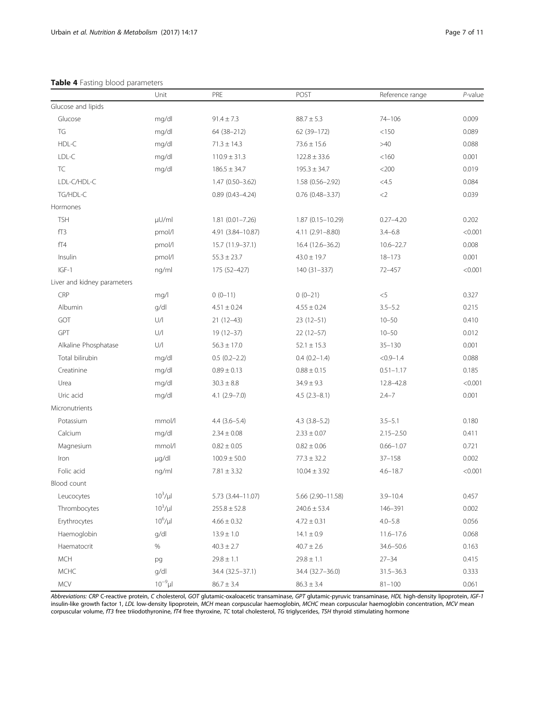## <span id="page-6-0"></span>Table 4 Fasting blood parameters

|                             | Unit             | PRE                 | POST               | Reference range | $P$ -value |
|-----------------------------|------------------|---------------------|--------------------|-----------------|------------|
| Glucose and lipids          |                  |                     |                    |                 |            |
| Glucose                     | mg/dl            | $91.4 \pm 7.3$      | $88.7 \pm 5.3$     | $74 - 106$      | 0.009      |
| TG                          | mg/dl            | 64 (38-212)         | 62 (39-172)        | < 150           | 0.089      |
| HDL-C                       | mg/dl            | $71.3 \pm 14.3$     | $73.6 \pm 15.6$    | >40             | 0.088      |
| LDL-C                       | mg/dl            | $110.9 \pm 31.3$    | $122.8 \pm 33.6$   | < 160           | 0.001      |
| <b>TC</b>                   | mg/dl            | $186.5 \pm 34.7$    | $195.3 \pm 34.7$   | $<$ 200         | 0.019      |
| LDL-C/HDL-C                 |                  | $1.47(0.50 - 3.62)$ | 1.58 (0.56-2.92)   | $<$ 4.5         | 0.084      |
| TG/HDL-C                    |                  | $0.89(0.43 - 4.24)$ | $0.76$ (0.48-3.37) | $<$ 2           | 0.039      |
| Hormones                    |                  |                     |                    |                 |            |
| <b>TSH</b>                  | µU/ml            | $1.81(0.01 - 7.26)$ | 1.87 (0.15-10.29)  | $0.27 - 4.20$   | 0.202      |
| fT3                         | pmol/l           | 4.91 (3.84-10.87)   | 4.11 (2.91-8.80)   | $3.4 - 6.8$     | < 0.001    |
| fT4                         | pmol/l           | 15.7 (11.9-37.1)    | 16.4 (12.6-36.2)   | $10.6 - 22.7$   | 0.008      |
| Insulin                     | pmol/l           | $55.3 \pm 23.7$     | $43.0 \pm 19.7$    | $18 - 173$      | 0.001      |
| $IGF-1$                     | ng/ml            | 175 (52-427)        | 140 (31-337)       | $72 - 457$      | < 0.001    |
| Liver and kidney parameters |                  |                     |                    |                 |            |
| CRP                         | mg/l             | $0(0-11)$           | $0(0-21)$          | $<$ 5           | 0.327      |
| Albumin                     | g/dl             | $4.51 \pm 0.24$     | $4.55 \pm 0.24$    | $3.5 - 5.2$     | 0.215      |
| GOT                         | $\bigcup/\bigl $ | $21(12-43)$         | $23(12-51)$        | $10 - 50$       | 0.410      |
| GPT                         | $\bigcup/\bigl $ | $19(12-37)$         | $22(12-57)$        | $10 - 50$       | 0.012      |
| Alkaline Phosphatase        | $\bigcup/\bigl $ | $56.3 \pm 17.0$     | $52.1 \pm 15.3$    | $35 - 130$      | 0.001      |
| Total bilirubin             | mg/dl            | $0.5(0.2 - 2.2)$    | $0.4(0.2-1.4)$     | $< 0.9 - 1.4$   | 0.088      |
| Creatinine                  | mg/dl            | $0.89 \pm 0.13$     | $0.88 \pm 0.15$    | $0.51 - 1.17$   | 0.185      |
| Urea                        | mg/dl            | $30.3 \pm 8.8$      | $34.9 \pm 9.3$     | 12.8-42.8       | < 0.001    |
| Uric acid                   | mg/dl            | $4.1 (2.9 - 7.0)$   | $4.5(2.3 - 8.1)$   | $2.4 - 7$       | 0.001      |
| Micronutrients              |                  |                     |                    |                 |            |
| Potassium                   | mmol/l           | $4.4(3.6 - 5.4)$    | $4.3$ $(3.8-5.2)$  | $3.5 - 5.1$     | 0.180      |
| Calcium                     | mg/dl            | $2.34 \pm 0.08$     | $2.33 \pm 0.07$    | $2.15 - 2.50$   | 0.411      |
| Magnesium                   | mmol/l           | $0.82 \pm 0.05$     | $0.82 \pm 0.06$    | $0.66 - 1.07$   | 0.721      |
| Iron                        | µg/dl            | $100.9 \pm 50.0$    | $77.3 \pm 32.2$    | $37 - 158$      | 0.002      |
| Folic acid                  | ng/ml            | $7.81 \pm 3.32$     | $10.04 \pm 3.92$   | $4.6 - 18.7$    | < 0.001    |
| Blood count                 |                  |                     |                    |                 |            |
| Leucocytes                  | $10^3/\mu$       | 5.73 (3.44-11.07)   | 5.66 (2.90-11.58)  | $3.9 - 10.4$    | 0.457      |
| Thrombocytes                | $10^3/\mu$       | $255.8 \pm 52.8$    | $240.6 \pm 53.4$   | 146-391         | 0.002      |
| Erythrocytes                | $10^6 / \mu$     | $4.66 \pm 0.32$     | $4.72 \pm 0.31$    | $4.0 - 5.8$     | 0.056      |
| Haemoglobin                 | g/dl             | $13.9 \pm 1.0$      | $14.1 \pm 0.9$     | $11.6 - 17.6$   | 0.068      |
| Haematocrit                 | $\%$             | $40.3 \pm 2.7$      | $40.7 \pm 2.6$     | 34.6-50.6       | 0.163      |
| <b>MCH</b>                  | pg               | $29.8 \pm 1.1$      | $29.8 \pm 1.1$     | $27 - 34$       | 0.415      |
| MCHC                        | g/dl             | 34.4 (32.5-37.1)    | 34.4 (32.7-36.0)   | $31.5 - 36.3$   | 0.333      |
| MCV                         | $10^{-9}$ µl     | $86.7 \pm 3.4$      | $86.3 \pm 3.4$     | $81 - 100$      | 0.061      |

Abbreviations: CRP C-reactive protein, C cholesterol, GOT glutamic-oxaloacetic transaminase, GPT glutamic-pyruvic transaminase, HDL high-density lipoprotein, IGF-1 insulin-like growth factor 1, LDL low-density lipoprotein, MCH mean corpuscular haemoglobin, MCHC mean corpuscular haemoglobin concentration, MCV mean corpuscular volume, fT3 free triiodothyronine, fT4 free thyroxine, TC total cholesterol, TG triglycerides, TSH thyroid stimulating hormone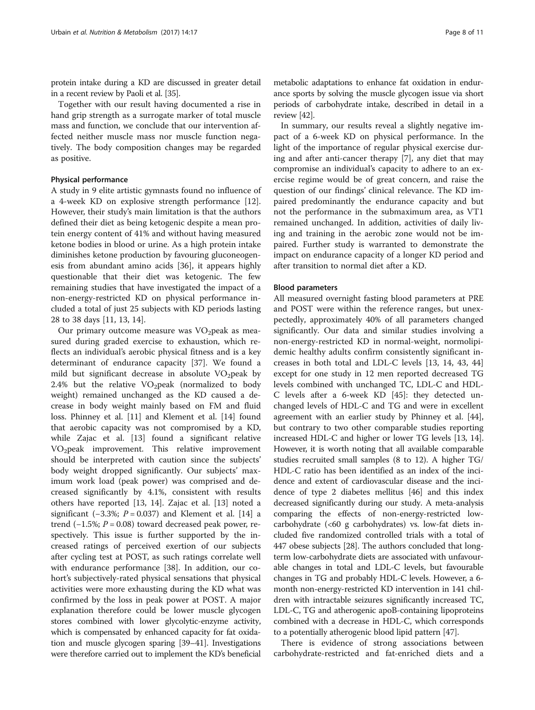protein intake during a KD are discussed in greater detail in a recent review by Paoli et al. [\[35\]](#page-9-0).

Together with our result having documented a rise in hand grip strength as a surrogate marker of total muscle mass and function, we conclude that our intervention affected neither muscle mass nor muscle function negatively. The body composition changes may be regarded as positive.

## Physical performance

A study in 9 elite artistic gymnasts found no influence of a 4-week KD on explosive strength performance [\[12](#page-9-0)]. However, their study's main limitation is that the authors defined their diet as being ketogenic despite a mean protein energy content of 41% and without having measured ketone bodies in blood or urine. As a high protein intake diminishes ketone production by favouring gluconeogenesis from abundant amino acids [[36](#page-9-0)], it appears highly questionable that their diet was ketogenic. The few remaining studies that have investigated the impact of a non-energy-restricted KD on physical performance included a total of just 25 subjects with KD periods lasting 28 to 38 days [\[11](#page-9-0), [13](#page-9-0), [14\]](#page-9-0).

Our primary outcome measure was  $VO<sub>2</sub>peak$  as measured during graded exercise to exhaustion, which reflects an individual's aerobic physical fitness and is a key determinant of endurance capacity [[37\]](#page-9-0). We found a mild but significant decrease in absolute  $VO<sub>2</sub>peak$  by 2.4% but the relative  $VO<sub>2</sub>peak$  (normalized to body weight) remained unchanged as the KD caused a decrease in body weight mainly based on FM and fluid loss. Phinney et al. [[11](#page-9-0)] and Klement et al. [\[14\]](#page-9-0) found that aerobic capacity was not compromised by a KD, while Zajac et al. [[13\]](#page-9-0) found a significant relative VO<sub>2</sub>peak improvement. This relative improvement should be interpreted with caution since the subjects' body weight dropped significantly. Our subjects' maximum work load (peak power) was comprised and decreased significantly by 4.1%, consistent with results others have reported [\[13](#page-9-0), [14](#page-9-0)]. Zajac et al. [\[13](#page-9-0)] noted a significant (−3.3%;  $P = 0.037$ ) and Klement et al. [[14\]](#page-9-0) a trend  $(-1.5\%; P = 0.08)$  toward decreased peak power, respectively. This issue is further supported by the increased ratings of perceived exertion of our subjects after cycling test at POST, as such ratings correlate well with endurance performance [[38](#page-9-0)]. In addition, our cohort's subjectively-rated physical sensations that physical activities were more exhausting during the KD what was confirmed by the loss in peak power at POST. A major explanation therefore could be lower muscle glycogen stores combined with lower glycolytic-enzyme activity, which is compensated by enhanced capacity for fat oxidation and muscle glycogen sparing [\[39](#page-10-0)–[41\]](#page-10-0). Investigations were therefore carried out to implement the KD's beneficial

metabolic adaptations to enhance fat oxidation in endurance sports by solving the muscle glycogen issue via short periods of carbohydrate intake, described in detail in a review [\[42](#page-10-0)].

In summary, our results reveal a slightly negative impact of a 6-week KD on physical performance. In the light of the importance of regular physical exercise during and after anti-cancer therapy [\[7\]](#page-9-0), any diet that may compromise an individual's capacity to adhere to an exercise regime would be of great concern, and raise the question of our findings' clinical relevance. The KD impaired predominantly the endurance capacity and but not the performance in the submaximum area, as VT1 remained unchanged. In addition, activities of daily living and training in the aerobic zone would not be impaired. Further study is warranted to demonstrate the impact on endurance capacity of a longer KD period and after transition to normal diet after a KD.

#### Blood parameters

All measured overnight fasting blood parameters at PRE and POST were within the reference ranges, but unexpectedly, approximately 40% of all parameters changed significantly. Our data and similar studies involving a non-energy-restricted KD in normal-weight, normolipidemic healthy adults confirm consistently significant increases in both total and LDL-C levels [\[13, 14](#page-9-0), [43](#page-10-0), [44](#page-10-0)] except for one study in 12 men reported decreased TG levels combined with unchanged TC, LDL-C and HDL-C levels after a 6-week KD [\[45\]](#page-10-0): they detected unchanged levels of HDL-C and TG and were in excellent agreement with an earlier study by Phinney et al. [\[44](#page-10-0)], but contrary to two other comparable studies reporting increased HDL-C and higher or lower TG levels [[13](#page-9-0), [14](#page-9-0)]. However, it is worth noting that all available comparable studies recruited small samples (8 to 12). A higher TG/ HDL-C ratio has been identified as an index of the incidence and extent of cardiovascular disease and the incidence of type 2 diabetes mellitus [\[46\]](#page-10-0) and this index decreased significantly during our study. A meta-analysis comparing the effects of non-energy-restricted lowcarbohydrate (<60 g carbohydrates) vs. low-fat diets included five randomized controlled trials with a total of 447 obese subjects [\[28\]](#page-9-0). The authors concluded that longterm low-carbohydrate diets are associated with unfavourable changes in total and LDL-C levels, but favourable changes in TG and probably HDL-C levels. However, a 6 month non-energy-restricted KD intervention in 141 children with intractable seizures significantly increased TC, LDL-C, TG and atherogenic apoB-containing lipoproteins combined with a decrease in HDL-C, which corresponds to a potentially atherogenic blood lipid pattern [\[47](#page-10-0)].

There is evidence of strong associations between carbohydrate-restricted and fat-enriched diets and a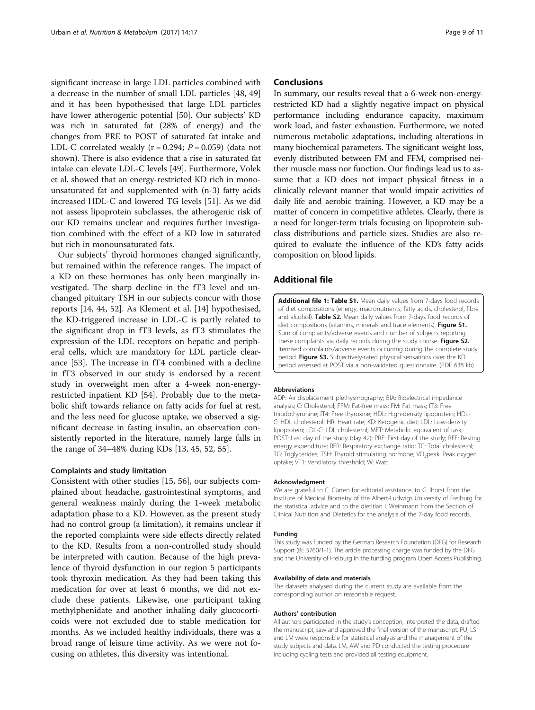<span id="page-8-0"></span>significant increase in large LDL particles combined with a decrease in the number of small LDL particles [\[48](#page-10-0), [49](#page-10-0)] and it has been hypothesised that large LDL particles have lower atherogenic potential [\[50](#page-10-0)]. Our subjects' KD was rich in saturated fat (28% of energy) and the changes from PRE to POST of saturated fat intake and LDL-C correlated weakly ( $r = 0.294$ ;  $P = 0.059$ ) (data not shown). There is also evidence that a rise in saturated fat intake can elevate LDL-C levels [\[49\]](#page-10-0). Furthermore, Volek et al. showed that an energy-restricted KD rich in monounsaturated fat and supplemented with (n-3) fatty acids increased HDL-C and lowered TG levels [[51\]](#page-10-0). As we did not assess lipoprotein subclasses, the atherogenic risk of our KD remains unclear and requires further investigation combined with the effect of a KD low in saturated but rich in monounsaturated fats.

Our subjects' thyroid hormones changed significantly, but remained within the reference ranges. The impact of a KD on these hormones has only been marginally investigated. The sharp decline in the fT3 level and unchanged pituitary TSH in our subjects concur with those reports [\[14](#page-9-0), [44](#page-10-0), [52\]](#page-10-0). As Klement et al. [[14](#page-9-0)] hypothesised, the KD-triggered increase in LDL-C is partly related to the significant drop in fT3 levels, as fT3 stimulates the expression of the LDL receptors on hepatic and peripheral cells, which are mandatory for LDL particle clearance [\[53\]](#page-10-0). The increase in fT4 combined with a decline in fT3 observed in our study is endorsed by a recent study in overweight men after a 4-week non-energyrestricted inpatient KD [\[54\]](#page-10-0). Probably due to the metabolic shift towards reliance on fatty acids for fuel at rest, and the less need for glucose uptake, we observed a significant decrease in fasting insulin, an observation consistently reported in the literature, namely large falls in the range of 34–48% during KDs [[13,](#page-9-0) [45](#page-10-0), [52](#page-10-0), [55](#page-10-0)].

#### Complaints and study limitation

Consistent with other studies [\[15](#page-9-0), [56](#page-10-0)], our subjects complained about headache, gastrointestinal symptoms, and general weakness mainly during the 1-week metabolic adaptation phase to a KD. However, as the present study had no control group (a limitation), it remains unclear if the reported complaints were side effects directly related to the KD. Results from a non-controlled study should be interpreted with caution. Because of the high prevalence of thyroid dysfunction in our region 5 participants took thyroxin medication. As they had been taking this medication for over at least 6 months, we did not exclude these patients. Likewise, one participant taking methylphenidate and another inhaling daily glucocorticoids were not excluded due to stable medication for months. As we included healthy individuals, there was a broad range of leisure time activity. As we were not focusing on athletes, this diversity was intentional.

#### **Conclusions**

In summary, our results reveal that a 6-week non-energyrestricted KD had a slightly negative impact on physical performance including endurance capacity, maximum work load, and faster exhaustion. Furthermore, we noted numerous metabolic adaptations, including alterations in many biochemical parameters. The significant weight loss, evenly distributed between FM and FFM, comprised neither muscle mass nor function. Our findings lead us to assume that a KD does not impact physical fitness in a clinically relevant manner that would impair activities of daily life and aerobic training. However, a KD may be a matter of concern in competitive athletes. Clearly, there is a need for longer-term trials focusing on lipoprotein subclass distributions and particle sizes. Studies are also required to evaluate the influence of the KD's fatty acids composition on blood lipids.

## Additional file

[Additional file 1: Table S1.](dx.doi.org/10.1186/s12986-017-0175-5) Mean daily values from 7-days food records of diet compositions (energy, macronutrients, fatty acids, cholesterol, fibre and alcohol). Table S2. Mean daily values from 7-days food records of diet compositions (vitamins, minerals and trace elements). Figure S1, Sum of complaints/adverse events and number of subjects reporting these complaints via daily records during the study course. Figure S2. Itemised complaints/adverse events occurring during the complete study period. Figure S3. Subjectively-rated physical sensations over the KD period assessed at POST via a non-validated questionnaire. (PDF 638 kb)

#### Abbreviations

ADP: Air displacement plethysmography; BIA: Bioelectrical impedance analysis; C: Cholesterol; FFM: Fat-free mass; FM: Fat mass; fT3: Free triiodothyronine; fT4: Free thyroxine; HDL: High-density lipoprotein; HDL-C: HDL cholesterol; HR: Heart rate; KD: Ketogenic diet; LDL: Low-density lipoprotein; LDL-C: LDL cholesterol; MET: Metabolic equivalent of task; POST: Last day of the study (day 42); PRE: First day of the study; REE: Resting energy expenditure; RER: Respiratory exchange ratio; TC: Total cholesterol; TG: Triglycerides; TSH: Thyroid stimulating hormone; VO<sub>2</sub>peak: Peak oxygen uptake; VT1: Ventilatory threshold; W: Watt

#### Acknowledgment

We are grateful to C. Cürten for editorial assistance, to G. Ihorst from the Institute of Medical Biometry of the Albert-Ludwigs University of Freiburg for the statistical advice and to the dietitian I. Weinmann from the Section of Clinical Nutrition and Dietetics for the analysis of the 7-day food records.

#### Funding

This study was funded by the German Research Foundation (DFG) for Research Support (BE 5760/1-1). The article processing charge was funded by the DFG and the University of Freiburg in the funding program Open Access Publishing.

#### Availability of data and materials

The datasets analysed during the current study are available from the corresponding author on reasonable request.

#### Authors' contribution

All authors participated in the study's conception, interpreted the data, drafted the manuscript, saw and approved the final version of the manuscript. PU, LS and LM were responsible for statistical analysis and the management of the study subjects and data. LM, AW and PD conducted the testing procedure including cycling tests and provided all testing equipment.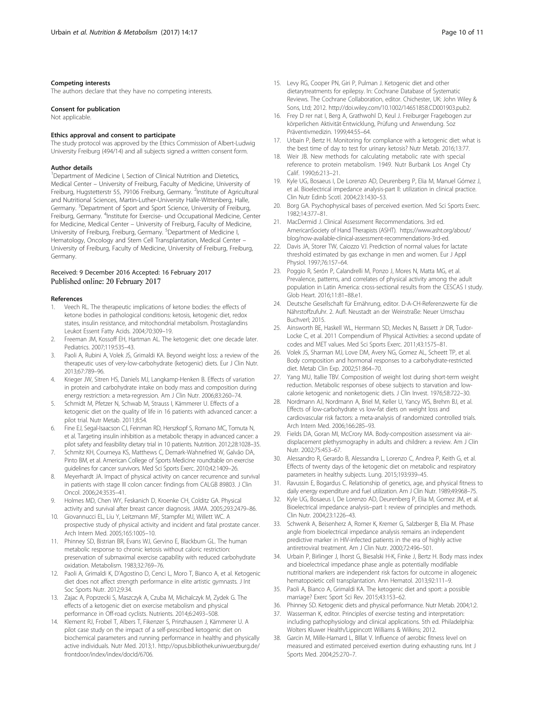#### <span id="page-9-0"></span>Competing interests

The authors declare that they have no competing interests.

#### Consent for publication

Not applicable.

#### Ethics approval and consent to participate

The study protocol was approved by the Ethics Commission of Albert-Ludwig University Freiburg (494/14) and all subjects signed a written consent form.

#### Author details

<sup>1</sup>Department of Medicine I, Section of Clinical Nutrition and Dietetics, Medical Center – University of Freiburg, Faculty of Medicine, University of Freiburg, Hugstetterstr 55, 79106 Freiburg, Germany. <sup>2</sup>Institute of Agricultural and Nutritional Sciences, Martin-Luther-University Halle-Wittenberg, Halle, Germany. <sup>3</sup>Department of Sport and Sport Science, University of Freiburg, Freiburg, Germany. <sup>4</sup>Institute for Exercise- und Occupational Medicine, Center for Medicine, Medical Center – University of Freiburg, Faculty of Medicine, University of Freiburg, Freiburg, Germany. <sup>5</sup>Department of Medicine I, Hematology, Oncology and Stem Cell Transplantation, Medical Center – University of Freiburg, Faculty of Medicine, University of Freiburg, Freiburg, Germany.

#### Received: 9 December 2016 Accepted: 16 February 2017 Published online: 20 February 2017

#### References

- 1. Veech RL. The therapeutic implications of ketone bodies: the effects of ketone bodies in pathological conditions: ketosis, ketogenic diet, redox states, insulin resistance, and mitochondrial metabolism. Prostaglandins Leukot Essent Fatty Acids. 2004;70:309–19.
- 2. Freeman JM, Kossoff EH, Hartman AL. The ketogenic diet: one decade later. Pediatrics. 2007;119:535–43.
- 3. Paoli A, Rubini A, Volek JS, Grimaldi KA. Beyond weight loss: a review of the therapeutic uses of very-low-carbohydrate (ketogenic) diets. Eur J Clin Nutr. 2013;67:789–96.
- 4. Krieger JW, Sitren HS, Daniels MJ, Langkamp-Henken B. Effects of variation in protein and carbohydrate intake on body mass and composition during energy restriction: a meta-regression. Am J Clin Nutr. 2006;83:260–74.
- 5. Schmidt M, Pfetzer N, Schwab M, Strauss I, Kämmerer U. Effects of a ketogenic diet on the quality of life in 16 patients with advanced cancer: a pilot trial. Nutr Metab. 2011;8:54.
- 6. Fine EJ, Segal-Isaacson CJ, Feinman RD, Herszkopf S, Romano MC, Tomuta N, et al. Targeting insulin inhibition as a metabolic therapy in advanced cancer: a pilot safety and feasibility dietary trial in 10 patients. Nutrition. 2012;28:1028–35.
- 7. Schmitz KH, Courneya KS, Matthews C, Demark-Wahnefried W, Galvão DA, Pinto BM, et al. American College of Sports Medicine roundtable on exercise guidelines for cancer survivors. Med Sci Sports Exerc. 2010;42:1409–26.
- 8. Meyerhardt JA. Impact of physical activity on cancer recurrence and survival in patients with stage III colon cancer: findings from CALGB 89803. J Clin Oncol. 2006;24:3535–41.
- 9. Holmes MD, Chen WY, Feskanich D, Kroenke CH, Colditz GA. Physical activity and survival after breast cancer diagnosis. JAMA. 2005;293:2479–86.
- 10. Giovannucci EL, Liu Y, Leitzmann MF, Stampfer MJ, Willett WC. A prospective study of physical activity and incident and fatal prostate cancer. Arch Intern Med. 2005;165:1005–10.
- 11. Phinney SD, Bistrian BR, Evans WJ, Gervino E, Blackburn GL. The human metabolic response to chronic ketosis without caloric restriction: preservation of submaximal exercise capability with reduced carbohydrate oxidation. Metabolism. 1983;32:769–76.
- 12. Paoli A, Grimaldi K, D'Agostino D, Cenci L, Moro T, Bianco A, et al. Ketogenic diet does not affect strength performance in elite artistic gymnasts. J Int Soc Sports Nutr. 2012;9:34.
- 13. Zajac A, Poprzecki S, Maszczyk A, Czuba M, Michalczyk M, Zydek G. The effects of a ketogenic diet on exercise metabolism and physical performance in Off-road cyclists. Nutrients. 2014;6:2493–508.
- 14. Klement RJ, Frobel T, Albers T, Fikenzer S, Prinzhausen J, Kämmerer U. A pilot case study on the impact of a self-prescribed ketogenic diet on biochemical parameters and running performance in healthy and physically active individuals. Nutr Med. 2013;1. [http://opus.bibliothek.uniwuerzburg.de/](http://opus.bibliothek.uniwuerzburg.de/frontdoor/index/index/docId/6706) [frontdoor/index/index/docId/6706.](http://opus.bibliothek.uniwuerzburg.de/frontdoor/index/index/docId/6706)
- 15. Levy RG, Cooper PN, Giri P, Pulman J. Ketogenic diet and other
- dietarytreatments for epilepsy. In: Cochrane Database of Systematic Reviews. The Cochrane Collaboration, editor. Chichester, UK: John Wiley & Sons, Ltd; 2012. [http://doi.wiley.com/10.1002/14651858.CD001903.pub2.](http://doi.wiley.com/10.1002/14651858.CD001903.pub2)
- 16. Frey D rer nat I, Berg A, Grathwohl D, Keul J. Freiburger Fragebogen zur körperlichen Aktivität-Entwicklung, Prüfung und Anwendung. Soz Präventivmedizin. 1999;44:55–64.
- 17. Urbain P, Bertz H. Monitoring for compliance with a ketogenic diet: what is the best time of day to test for urinary ketosis? Nutr Metab. 2016;13:77.
- 18. Weir JB. New methods for calculating metabolic rate with special reference to protein metabolism. 1949. Nutr Burbank Los Angel Cty Calif. 1990;6:213–21.
- 19. Kyle UG, Bosaeus I, De Lorenzo AD, Deurenberg P, Elia M, Manuel Gómez J, et al. Bioelectrical impedance analysis-part II: utilization in clinical practice. Clin Nutr Edinb Scotl. 2004;23:1430–53.
- 20. Borg GA. Psychophysical bases of perceived exertion. Med Sci Sports Exerc. 1982;14:377–81.
- 21. MacDermid J. Clinical Assessment Recommendations. 3rd ed. AmericanSociety of Hand Therapists (ASHT). [https://www.asht.org/about/](https://www.asht.org/about/blog/now-available-clinical-assessment-recommendations-3rd-ed) [blog/now-available-clinical-assessment-recommendations-3rd-ed](https://www.asht.org/about/blog/now-available-clinical-assessment-recommendations-3rd-ed).
- 22. Davis JA, Storer TW, Caiozzo VJ. Prediction of normal values for lactate threshold estimated by gas exchange in men and women. Eur J Appl Physiol. 1997;76:157–64.
- 23. Poggio R, Serón P, Calandrelli M, Ponzo J, Mores N, Matta MG, et al. Prevalence, patterns, and correlates of physical activity among the adult population in Latin America: cross-sectional results from the CESCAS I study. Glob Heart. 2016;11:81–88.e1.
- 24. Deutsche Gesellschaft für Ernährung, editor. D-A-CH-Referenzwerte für die Nährstoffzufuhr. 2. Aufl. Neustadt an der Weinstraße: Neuer Umschau Buchverl; 2015.
- 25. Ainsworth BE, Haskell WL, Herrmann SD, Meckes N, Bassett Jr DR, Tudor-Locke C, et al. 2011 Compendium of Physical Activities: a second update of codes and MET values. Med Sci Sports Exerc. 2011;43:1575–81.
- 26. Volek JS, Sharman MJ, Love DM, Avery NG, Gomez AL, Scheett TP, et al. Body composition and hormonal responses to a carbohydrate-restricted diet. Metab Clin Exp. 2002;51:864–70.
- 27. Yang MU, Itallie TBV. Composition of weight lost during short-term weight reduction. Metabolic responses of obese subjects to starvation and lowcalorie ketogenic and nonketogenic diets. J Clin Invest. 1976;58:722–30.
- 28. Nordmann AJ, Nordmann A, Briel M, Keller U, Yancy WS, Brehm BJ, et al. Effects of low-carbohydrate vs low-fat diets on weight loss and cardiovascular risk factors: a meta-analysis of randomized controlled trials. Arch Intern Med. 2006;166:285–93.
- 29. Fields DA, Goran MI, McCrory MA. Body-composition assessment via airdisplacement plethysmography in adults and children: a review. Am J Clin Nutr. 2002;75:453–67.
- 30. Alessandro R, Gerardo B, Alessandra L, Lorenzo C, Andrea P, Keith G, et al. Effects of twenty days of the ketogenic diet on metabolic and respiratory parameters in healthy subjects. Lung. 2015;193:939–45.
- 31. Ravussin E, Bogardus C. Relationship of genetics, age, and physical fitness to daily energy expenditure and fuel utilization. Am J Clin Nutr. 1989;49:968–75.
- 32. Kyle UG, Bosaeus I, De Lorenzo AD, Deurenberg P, Elia M, Gomez JM, et al. Bioelectrical impedance analysis–part I: review of principles and methods. Clin Nutr. 2004;23:1226–43.
- 33. Schwenk A, Beisenherz A, Romer K, Kremer G, Salzberger B, Elia M. Phase angle from bioelectrical impedance analysis remains an independent predictive marker in HIV-infected patients in the era of highly active antiretroviral treatment. Am J Clin Nutr. 2000;72:496–501.
- 34. Urbain P, Birlinger J, Ihorst G, Biesalski H-K, Finke J, Bertz H. Body mass index and bioelectrical impedance phase angle as potentially modifiable nutritional markers are independent risk factors for outcome in allogeneic hematopoietic cell transplantation. Ann Hematol. 2013;92:111–9.
- 35. Paoli A, Bianco A, Grimaldi KA. The ketogenic diet and sport: a possible marriage? Exerc Sport Sci Rev. 2015;43:153–62.
- 36. Phinney SD. Ketogenic diets and physical performance. Nutr Metab. 2004;1:2.
- 37. Wasserman K, editor. Principles of exercise testing and interpretation: including pathophysiology and clinical applications. 5th ed. Philadelphia: Wolters Kluwer Health/Lippincott Williams & Wilkins; 2012.
- 38. Garcin M, Mille-Hamard L, BIllat V. Influence of aerobic fitness level on measured and estimated perceived exertion during exhausting runs. Int J Sports Med. 2004;25:270–7.